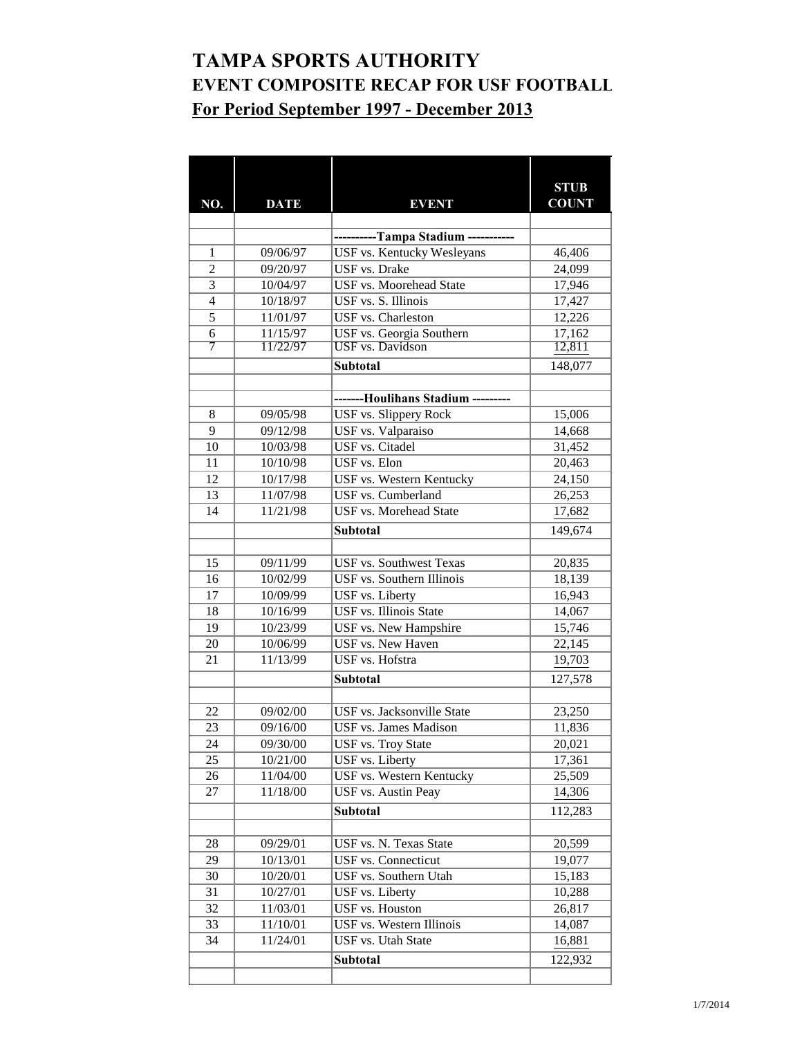## **TAMPA SPORTS AUTHORITY EVENT COMPOSITE RECAP FOR USF FOOTBALL For Period September 1997 - December 2013**

|                |                      |                                               | <b>STUB</b>      |
|----------------|----------------------|-----------------------------------------------|------------------|
| NO.            | <b>DATE</b>          | <b>EVENT</b>                                  | <b>COUNT</b>     |
|                |                      |                                               |                  |
|                |                      | ----------Tampa Stadium ----                  |                  |
| 1              | 09/06/97             | <b>USF vs. Kentucky Wesleyans</b>             | 46,406           |
| $\overline{2}$ | 09/20/97             | <b>USF</b> vs. Drake                          | 24,099           |
| $\overline{3}$ | 10/04/97             | <b>USF vs. Moorehead State</b>                | 17,946           |
| $\overline{4}$ | 10/18/97             | USF vs. S. Illinois                           | 17,427           |
| $\overline{5}$ | 11/01/97             | USF vs. Charleston                            | 12,226           |
| $\overline{6}$ | 11/15/97             | USF vs. Georgia Southern                      | 17,162           |
| 7              | 11/22/97             | <b>USF</b> vs. Davidson                       | 12,811           |
|                |                      | <b>Subtotal</b>                               | 148,077          |
|                |                      |                                               |                  |
|                |                      | -------Houlihans Stadium ---------            |                  |
| 8              | 09/05/98             | <b>USF vs. Slippery Rock</b>                  | 15,006           |
| 9              | 09/12/98             | USF vs. Valparaiso                            | 14,668           |
| 10             | 10/03/98             | <b>USF</b> vs. Citadel                        | 31,452           |
| 11             | 10/10/98             | USF vs. Elon                                  | 20,463           |
| 12             | 10/17/98             | <b>USF vs. Western Kentucky</b>               | 24,150           |
| 13             | 11/07/98             | USF vs. Cumberland                            | 26,253           |
| 14             | 11/21/98             | <b>USF vs. Morehead State</b>                 | 17,682           |
|                |                      | <b>Subtotal</b>                               | 149,674          |
|                |                      |                                               |                  |
| 15             | 09/11/99             | <b>USF</b> vs. Southwest Texas                | 20,835           |
| 16             | 10/02/99             | <b>USF</b> vs. Southern Illinois              | 18,139           |
| 17             | 10/09/99             | USF vs. Liberty                               | 16,943           |
| 18             | 10/16/99             | <b>USF</b> vs. Illinois State                 | 14,067           |
| 19             | 10/23/99             | USF vs. New Hampshire                         | 15,746           |
| 20<br>21       | 10/06/99<br>11/13/99 | <b>USF vs. New Haven</b><br>USF vs. Hofstra   | 22,145           |
|                |                      |                                               | 19,703           |
|                |                      | <b>Subtotal</b>                               | 127,578          |
|                |                      |                                               |                  |
| 22             | 09/02/00             | <b>USF</b> vs. Jacksonville State             | 23,250           |
| 23             | 09/16/00             | <b>USF</b> vs. James Madison                  | 11,836           |
| 24             | 09/30/00             | USF vs. Troy State                            | 20,021           |
| 25             | 10/21/00             | USF vs. Liberty<br>USF vs. Western Kentucky   | 17,361           |
| 26<br>27       | 11/04/00<br>11/18/00 | <b>USF</b> vs. Austin Peay                    | 25,509<br>14,306 |
|                |                      |                                               |                  |
|                |                      | Subtotal                                      | 112,283          |
|                |                      |                                               |                  |
| 28             | 09/29/01             | USF vs. N. Texas State<br>USF vs. Connecticut | 20,599           |
| 29<br>30       | 10/13/01<br>10/20/01 | USF vs. Southern Utah                         | 19,077<br>15,183 |
| 31             | 10/27/01             | USF vs. Liberty                               | 10,288           |
| 32             | 11/03/01             | <b>USF</b> vs. Houston                        | 26,817           |
| 33             | 11/10/01             | USF vs. Western Illinois                      | 14,087           |
| 34             | 11/24/01             | USF vs. Utah State                            | 16,881           |
|                |                      | Subtotal                                      |                  |
|                |                      |                                               | 122,932          |
|                |                      |                                               |                  |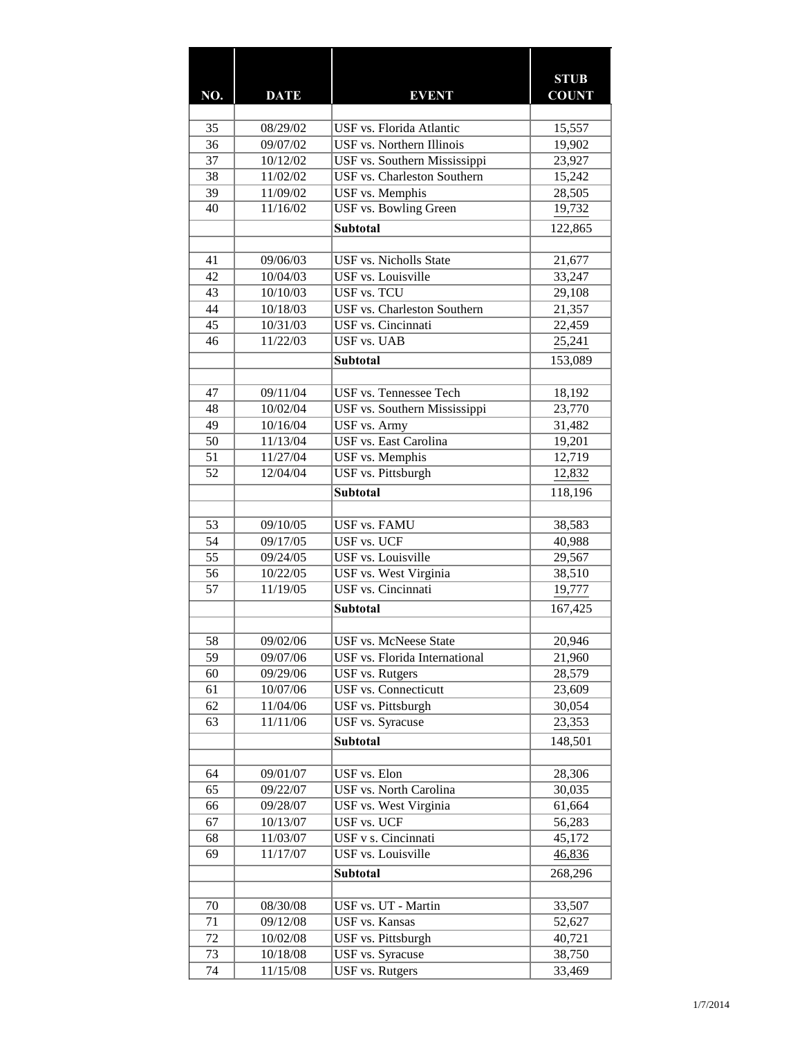|          |                      |                                                             | <b>STUB</b>         |
|----------|----------------------|-------------------------------------------------------------|---------------------|
| NO.      | <b>DATE</b>          | <b>EVENT</b>                                                | <b>COUNT</b>        |
|          |                      |                                                             |                     |
| 35       | 08/29/02             | USF vs. Florida Atlantic                                    | 15,557              |
| 36       | 09/07/02             | USF vs. Northern Illinois                                   | 19,902              |
| 37<br>38 | 10/12/02<br>11/02/02 | USF vs. Southern Mississippi<br>USF vs. Charleston Southern | 23,927<br>15,242    |
| 39       | 11/09/02             | USF vs. Memphis                                             | 28,505              |
| 40       | 11/16/02             | <b>USF</b> vs. Bowling Green                                | 19,732              |
|          |                      |                                                             |                     |
|          |                      | <b>Subtotal</b>                                             | 122,865             |
| 41       | 09/06/03             | <b>USF</b> vs. Nicholls State                               | 21,677              |
| 42       | 10/04/03             | USF vs. Louisville                                          | 33,247              |
| 43       | 10/10/03             | <b>USF vs. TCU</b>                                          | 29,108              |
| 44       | 10/18/03             | <b>USF vs. Charleston Southern</b>                          | $\overline{21,357}$ |
| 45       | 10/31/03             | USF vs. Cincinnati                                          | 22,459              |
| 46       | 11/22/03             | <b>USF</b> vs. UAB                                          | 25,241              |
|          |                      | Subtotal                                                    | 153,089             |
|          |                      |                                                             |                     |
| 47       | 09/11/04             | USF vs. Tennessee Tech                                      | 18,192              |
| 48       | 10/02/04             | USF vs. Southern Mississippi                                | 23,770              |
| 49       | 10/16/04             | <b>USF</b> vs. Army                                         | 31,482              |
| 50       | 11/13/04             | USF vs. East Carolina                                       | 19,201              |
| 51       | 11/27/04             | USF vs. Memphis                                             | 12,719              |
| 52       | 12/04/04             | USF vs. Pittsburgh                                          | 12,832              |
|          |                      | <b>Subtotal</b>                                             |                     |
|          |                      |                                                             | 118,196             |
| 53       | 09/10/05             | <b>USF vs. FAMU</b>                                         | 38,583              |
| 54       | 09/17/05             | <b>USF vs. UCF</b>                                          | 40,988              |
| 55       | 09/24/05             | USF vs. Louisville                                          | 29,567              |
| 56       | 10/22/05             | USF vs. West Virginia                                       | 38,510              |
| 57       | 11/19/05             | USF vs. Cincinnati                                          | 19,777              |
|          |                      |                                                             |                     |
|          |                      | Subtotal                                                    | 167,425             |
| 58       | 09/02/06             | <b>USF vs. McNeese State</b>                                | 20,946              |
| 59       | 09/07/06             | USF vs. Florida International                               | 21,960              |
| 60       | 09/29/06             | <b>USF</b> vs. Rutgers                                      | 28,579              |
| 61       | 10/07/06             | <b>USF</b> vs. Connecticutt                                 | 23,609              |
| 62       | 11/04/06             | USF vs. Pittsburgh                                          | 30,054              |
| 63       | 11/11/06             | <b>USF</b> vs. Syracuse                                     | 23,353              |
|          |                      | <b>Subtotal</b>                                             | 148,501             |
|          |                      |                                                             |                     |
| 64       | 09/01/07             | USF vs. Elon                                                | 28,306              |
| 65       | 09/22/07             | <b>USF vs. North Carolina</b>                               | 30,035              |
| 66       | 09/28/07             | USF vs. West Virginia                                       | 61,664              |
| 67       | 10/13/07             | USF vs. UCF                                                 | 56,283              |
| 68       | 11/03/07             | USF v s. Cincinnati                                         | 45,172              |
| 69       | 11/17/07             | USF vs. Louisville                                          | 46,836              |
|          |                      | <b>Subtotal</b>                                             | 268,296             |
|          |                      |                                                             |                     |
| 70       | 08/30/08             | USF vs. UT - Martin                                         | 33,507              |
| 71       | 09/12/08             | <b>USF</b> vs. Kansas                                       | 52,627              |
| 72       | 10/02/08             | USF vs. Pittsburgh                                          | 40,721              |
| 73       | 10/18/08             | <b>USF</b> vs. Syracuse                                     | 38,750              |
| 74       | 11/15/08             | <b>USF</b> vs. Rutgers                                      | 33,469              |